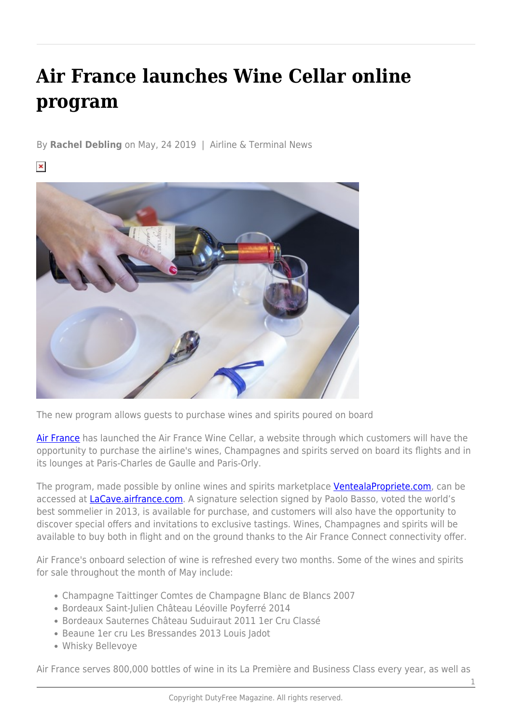## **Air France launches Wine Cellar online program**

By **Rachel Debling** on May, 24 2019 | Airline & Terminal News

 $\pmb{\times}$ 



The new program allows guests to purchase wines and spirits poured on board

[Air France](https://www.airfrance.com/) has launched the Air France Wine Cellar, a website through which customers will have the opportunity to purchase the airline's wines, Champagnes and spirits served on board its flights and in its lounges at Paris-Charles de Gaulle and Paris-Orly.

The program, made possible by online wines and spirits marketplace [VentealaPropriete.com,](https://www.ventealapropriete.com/) can be accessed at **LaCave.airfrance.com**. A signature selection signed by Paolo Basso, voted the world's best sommelier in 2013, is available for purchase, and customers will also have the opportunity to discover special offers and invitations to exclusive tastings. Wines, Champagnes and spirits will be available to buy both in flight and on the ground thanks to the Air France Connect connectivity offer.

Air France's onboard selection of wine is refreshed every two months. Some of the wines and spirits for sale throughout the month of May include:

- Champagne Taittinger Comtes de Champagne Blanc de Blancs 2007
- Bordeaux Saint-Julien Château Léoville Poyferré 2014
- Bordeaux Sauternes Château Suduiraut 2011 1er Cru Classé
- Beaune 1er cru Les Bressandes 2013 Louis Jadot
- Whisky Bellevoye

Air France serves 800,000 bottles of wine in its La Première and Business Class every year, as well as